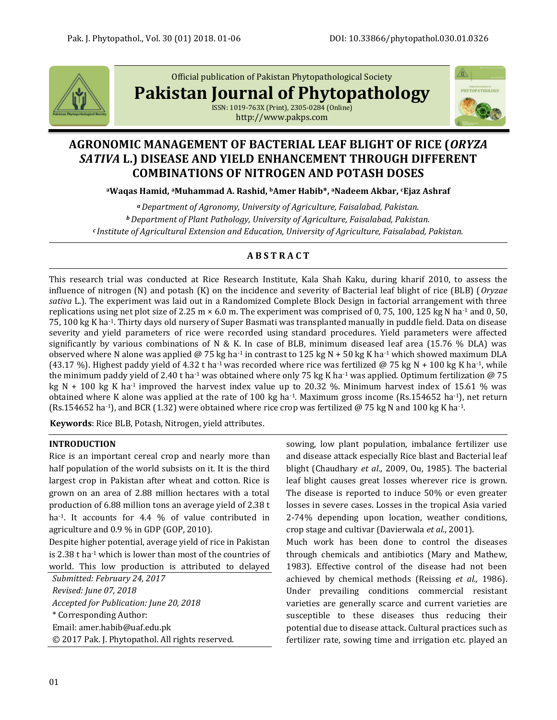

Official publication of Pakistan Phytopathological Society

**Pakistan Journal of Phytopathology**

ISSN: 1019-763X (Print), 2305-0284 (Online) http://www.pakps.com



# **AGRONOMIC MANAGEMENT OF BACTERIAL LEAF BLIGHT OF RICE (***ORYZA SATIVA* **L.) DISEASE AND YIELD ENHANCEMENT THROUGH DIFFERENT COMBINATIONS OF NITROGEN AND POTASH DOSES**

**<sup>a</sup>Waqas Hamid, aMuhammad A. Rashid, bAmer Habib\*, aNadeem Akbar, cEjaz Ashraf**

*<sup>a</sup>Department of Agronomy, University of Agriculture, Faisalabad, Pakistan. <sup>b</sup>Department of Plant Pathology, University of Agriculture, Faisalabad, Pakistan. c Institute of Agricultural Extension and Education, University of Agriculture, Faisalabad, Pakistan.*

## **A B S T R A C T**

This research trial was conducted at Rice Research Institute, Kala Shah Kaku, during kharif 2010, to assess the influence of nitrogen (N) and potash (K) on the incidence and severity of Bacterial leaf blight of rice (BLB) (*Oryzae sativa* L.). The experiment was laid out in a Randomized Complete Block Design in factorial arrangement with three replications using net plot size of 2.25 m  $\times$  6.0 m. The experiment was comprised of 0, 75, 100, 125 kg N ha<sup>-1</sup> and 0, 50, 75, 100 kg K ha-1. Thirty days old nursery of Super Basmati was transplanted manually in puddle field. Data on disease severity and yield parameters of rice were recorded using standard procedures. Yield parameters were affected significantly by various combinations of N & K. In case of BLB, minimum diseased leaf area (15.76 % DLA) was observed where N alone was applied @ 75 kg ha<sup>-1</sup> in contrast to 125 kg N + 50 kg K ha<sup>-1</sup> which showed maximum DLA (43.17 %). Highest paddy yield of 4.32 t ha<sup>-1</sup> was recorded where rice was fertilized @ 75 kg N + 100 kg K ha<sup>-1</sup>, while the minimum paddy yield of 2.40 t ha<sup>-1</sup> was obtained where only 75 kg K ha<sup>-1</sup> was applied. Optimum fertilization @ 75 kg N + 100 kg K ha<sup>-1</sup> improved the harvest index value up to 20.32 %. Minimum harvest index of 15.61 % was obtained where K alone was applied at the rate of 100 kg ha<sup>-1</sup>. Maximum gross income (Rs.154652 ha<sup>-1</sup>), net return (Rs.154652 ha<sup>-1</sup>), and BCR (1.32) were obtained where rice crop was fertilized @ 75 kg N and 100 kg K ha<sup>-1</sup>.

**Keywords**: Rice BLB, Potash, Nitrogen, yield attributes.

## **INTRODUCTION**

Rice is an important cereal crop and nearly more than half population of the world subsists on it. It is the third largest crop in Pakistan after wheat and cotton. Rice is grown on an area of 2.88 million hectares with a total production of 6.88 million tons an average yield of 2.38 t ha<sup>-1</sup>. It accounts for 4.4 % of value contributed in agriculture and 0.9 % in GDP (GOP, 2010).

Despite higher potential, average yield of rice in Pakistan is 2.38 t ha-1 which is lower than most of the countries of world. This low production is attributed to delayed

*Submitted: February 24, 2017 Revised: June 07, 2018 Accepted for Publication: June 20, 2018* \* Corresponding Author: Email: [amer.habib@uaf.edu.pk](mailto:amer.habib@uaf.edu.pk) © 2017 Pak. J. Phytopathol. All rights reserved. sowing, low plant population, imbalance fertilizer use and disease attack especially Rice blast and Bacterial leaf blight (Chaudhary *et al*., 2009, Ou, 1985). The bacterial leaf blight causes great losses wherever rice is grown. The disease is reported to induce 50% or even greater losses in severe cases. Losses in the tropical Asia varied 2-74% depending upon location, weather conditions, crop stage and cultivar (Davierwala *et al*., 2001).

Much work has been done to control the diseases through chemicals and antibiotics (Mary and Mathew, 1983). Effective control of the disease had not been achieved by chemical methods (Reissing *et al.,* 1986). Under prevailing conditions commercial resistant varieties are generally scarce and current varieties are susceptible to these diseases thus reducing their potential due to disease attack. Cultural practices such as fertilizer rate, sowing time and irrigation etc. played an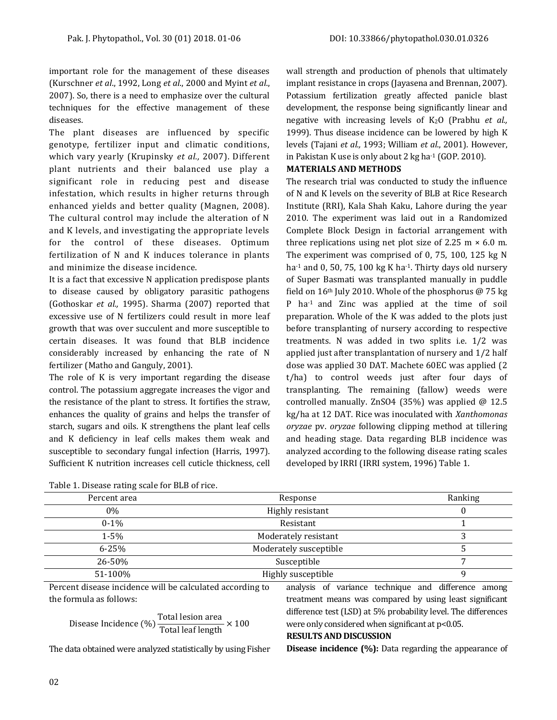important role for the management of these diseases (Kurschner *et al*., 1992, Long *et al*., 2000 and Myint *et al*., 2007). So, there is a need to emphasize over the cultural techniques for the effective management of these diseases.

The plant diseases are influenced by specific genotype, fertilizer input and climatic conditions, which vary yearly (Krupinsky *et al.,* 2007). Different plant nutrients and their balanced use play a significant role in reducing pest and disease infestation, which results in higher returns through enhanced yields and better quality (Magnen, 2008). The cultural control may include the alteration of N and K levels, and investigating the appropriate levels for the control of these diseases. Optimum fertilization of N and K induces tolerance in plants and minimize the disease incidence.

It is a fact that excessive N application predispose plants to disease caused by obligatory parasitic pathogens (Gothoskar *et al.,* 1995). Sharma (2007) reported that excessive use of N fertilizers could result in more leaf growth that was over succulent and more susceptible to certain diseases. It was found that BLB incidence considerably increased by enhancing the rate of N fertilizer (Matho and Ganguly, 2001).

The role of K is very important regarding the disease control. The potassium aggregate increases the vigor and the resistance of the plant to stress. It fortifies the straw, enhances the quality of grains and helps the transfer of starch, sugars and oils. K strengthens the plant leaf cells and K deficiency in leaf cells makes them weak and susceptible to secondary fungal infection (Harris, 1997). Sufficient K nutrition increases cell cuticle thickness, cell wall strength and production of phenols that ultimately implant resistance in crops (Jayasena and Brennan, 2007). Potassium fertilization greatly affected panicle blast development, the response being significantly linear and negative with increasing levels of K2O (Prabhu *et al.,* 1999). Thus disease incidence can be lowered by high K levels (Tajani *et al.,* 1993; William *et al*., 2001). However, in Pakistan K use is only about 2 kg ha-1 (GOP. 2010).

### **MATERIALS AND METHODS**

The research trial was conducted to study the influence of N and K levels on the severity of BLB at Rice Research Institute (RRI), Kala Shah Kaku, Lahore during the year 2010. The experiment was laid out in a Randomized Complete Block Design in factorial arrangement with three replications using net plot size of 2.25 m  $\times$  6.0 m. The experiment was comprised of 0, 75, 100, 125 kg N ha $^{-1}$  and 0, 50, 75, 100 kg K ha $^{-1}$ . Thirty days old nursery of Super Basmati was transplanted manually in puddle field on  $16<sup>th</sup>$  July 2010. Whole of the phosphorus @ 75 kg P ha-1 and Zinc was applied at the time of soil preparation. Whole of the K was added to the plots just before transplanting of nursery according to respective treatments. N was added in two splits i.e. 1/2 was applied just after transplantation of nursery and 1/2 half dose was applied 30 DAT. Machete 60EC was applied (2 t/ha) to control weeds just after four days of transplanting. The remaining (fallow) weeds were controlled manually. ZnSO4 (35%) was applied @ 12.5 kg/ha at 12 DAT. Rice was inoculated with *Xanthomonas oryzae* pv. *oryzae* following clipping method at tillering and heading stage. Data regarding BLB incidence was analyzed according to the following disease rating scales developed by IRRI (IRRI system, 1996) Table 1.

| Table 1. Disease rating scale for BLB of rice. |                        |         |
|------------------------------------------------|------------------------|---------|
| Percent area                                   | Response               | Ranking |
| $0\%$                                          | Highly resistant       |         |
| $0 - 1\%$                                      | Resistant              |         |
| $1 - 5%$                                       | Moderately resistant   |         |
| $6 - 25%$                                      | Moderately susceptible |         |
| 26-50%                                         | Susceptible            |         |
| 51-100%                                        | Highly susceptible     |         |

Table 1. Disease rating scale for BLB of rice.

Percent disease incidence will be calculated according to the formula as follows:

$$
Disease Indience (%) \frac{Total lesion area}{Total leaf length} \times 100
$$

The data obtained were analyzed statistically by using Fisher

analysis of variance technique and difference among treatment means was compared by using least significant difference test (LSD) at 5% probability level. The differences were only considered when significant at  $p<0.05$ .

### **RESULTS AND DISCUSSION**

**Disease incidence (%):** Data regarding the appearance of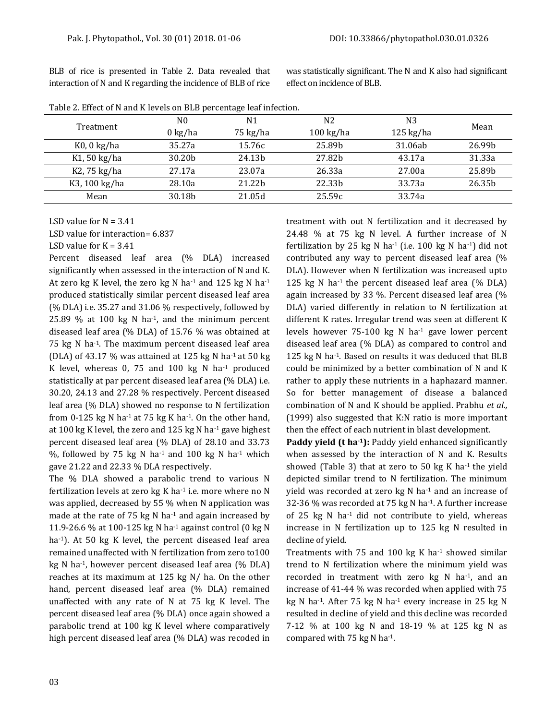| Table 2. Effect of N and K levels on BLB percentage leaf infection. |                    |                    |                     |             |        |  |  |
|---------------------------------------------------------------------|--------------------|--------------------|---------------------|-------------|--------|--|--|
| Treatment                                                           | N <sub>0</sub>     | N1                 | N <sub>2</sub>      | N3          |        |  |  |
|                                                                     | $0 \text{ kg/ha}$  | 75 kg/ha           | $100 \text{ kg/ha}$ | $125$ kg/ha | Mean   |  |  |
| $K0$ , 0 kg/ha                                                      | 35.27a             | 15.76c             | 25.89b              | 31.06ab     | 26.99b |  |  |
| K1, 50 kg/ha                                                        | 30.20 <sub>b</sub> | 24.13 <sub>b</sub> | 27.82b              | 43.17a      | 31.33a |  |  |
| K2, 75 kg/ha                                                        | 27.17a             | 23.07a             | 26.33a              | 27.00a      | 25.89b |  |  |
| K3, 100 kg/ha                                                       | 28.10a             | 21.22b             | 22.33 <sub>b</sub>  | 33.73a      | 26.35b |  |  |
| Mean                                                                | 30.18b             | 21.05d             | 25.59c              | 33.74a      |        |  |  |

BLB of rice is presented in Table 2. Data revealed that interaction of N and K regarding the incidence of BLB of rice

was statistically significant. The N and K also had significant effect on incidence of BLB.

| LSD value for $N = 3.41$ |  |  |
|--------------------------|--|--|
|                          |  |  |

LSD value for interaction= 6.837

### LSD value for  $K = 3.41$

Percent diseased leaf area (% DLA) increased significantly when assessed in the interaction of N and K. At zero kg K level, the zero kg N ha $^{-1}$  and 125 kg N ha $^{-1}$ produced statistically similar percent diseased leaf area (% DLA) i.e. 35.27 and 31.06 % respectively, followed by 25.89 % at 100 kg N ha $-1$ , and the minimum percent diseased leaf area (% DLA) of 15.76 % was obtained at 75 kg N ha-1. The maximum percent diseased leaf area (DLA) of 43.17 % was attained at 125 kg N ha<sup>-1</sup> at 50 kg K level, whereas 0, 75 and 100 kg N ha-1 produced statistically at par percent diseased leaf area (% DLA) i.e. 30.20, 24.13 and 27.28 % respectively. Percent diseased leaf area (% DLA) showed no response to N fertilization from 0-125 kg N ha<sup>-1</sup> at 75 kg K ha<sup>-1</sup>. On the other hand, at 100 kg K level, the zero and 125 kg N ha-1 gave highest percent diseased leaf area (% DLA) of 28.10 and 33.73 %, followed by 75 kg N ha-1 and 100 kg N ha-1 which gave 21.22 and 22.33 % DLA respectively.

The % DLA showed a parabolic trend to various N fertilization levels at zero  $kg$  K ha $^{-1}$  i.e. more where no N was applied, decreased by 55 % when N application was made at the rate of 75 kg N ha<sup>-1</sup> and again increased by 11.9-26.6 % at 100-125 kg N ha-1 against control (0 kg N ha<sup>-1</sup>). At 50 kg K level, the percent diseased leaf area remained unaffected with N fertilization from zero to100 kg N ha-1, however percent diseased leaf area (% DLA) reaches at its maximum at 125 kg N/ ha. On the other hand, percent diseased leaf area (% DLA) remained unaffected with any rate of N at 75 kg K level. The percent diseased leaf area (% DLA) once again showed a parabolic trend at 100 kg K level where comparatively high percent diseased leaf area (% DLA) was recoded in treatment with out N fertilization and it decreased by 24.48 % at 75 kg N level. A further increase of N fertilization by 25 kg N ha<sup>-1</sup> (i.e. 100 kg N ha<sup>-1</sup>) did not contributed any way to percent diseased leaf area (% DLA). However when N fertilization was increased upto 125 kg N ha<sup>-1</sup> the percent diseased leaf area  $(\%$  DLA) again increased by 33 %. Percent diseased leaf area (% DLA) varied differently in relation to N fertilization at different K rates. Irregular trend was seen at different K levels however 75-100 kg N ha<sup>-1</sup> gave lower percent diseased leaf area (% DLA) as compared to control and 125 kg N ha<sup>-1</sup>. Based on results it was deduced that BLB could be minimized by a better combination of N and K rather to apply these nutrients in a haphazard manner. So for better management of disease a balanced combination of N and K should be applied. Prabhu *et al.,* (1999) also suggested that K:N ratio is more important then the effect of each nutrient in blast development.

**Paddy yield (t ha-1):** Paddy yield enhanced significantly when assessed by the interaction of N and K. Results showed (Table 3) that at zero to 50 kg K ha $-1$  the yield depicted similar trend to N fertilization. The minimum yield was recorded at zero kg N ha-1 and an increase of 32-36 % was recorded at 75 kg N ha-1. A further increase of 25 kg N ha-1 did not contribute to yield, whereas increase in N fertilization up to 125 kg N resulted in decline of yield.

Treatments with 75 and 100 kg K ha $-1$  showed similar trend to N fertilization where the minimum yield was recorded in treatment with zero kg N ha-1, and an increase of 41-44 % was recorded when applied with 75 kg N ha-1. After 75 kg N ha-1 every increase in 25 kg N resulted in decline of yield and this decline was recorded 7-12 % at 100 kg N and 18-19 % at 125 kg N as compared with 75 kg N ha-1.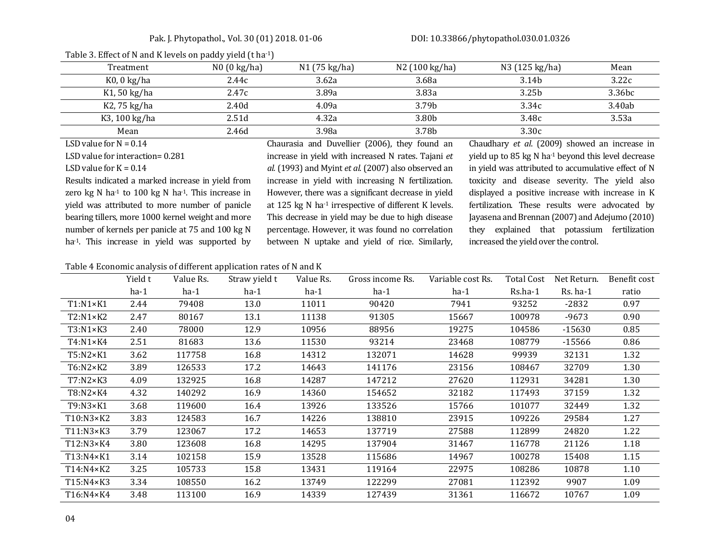### Pak. J. Phytopathol., Vol. 30 (01) 2018. 01-06 DOI[: 10.33866/phytopathol.030.01.0326](http://dx.doi.org/10.33866/phytopathol.030.01.0326)

| Treatment      | $N0$ (0 kg/ha) | N1 (75 kg/ha) | N2 (100 kg/ha) | N3 (125 kg/ha)    | Mean   |
|----------------|----------------|---------------|----------------|-------------------|--------|
| $K0$ , 0 kg/ha | 2.44c          | 3.62a         | 3.68a          | 3.14b             | 3.22c  |
| K1, 50 kg/ha   | 2.47c          | 3.89a         | 3.83a          | 3.25 <sub>b</sub> | 3.36bc |
| K2, 75 kg/ha   | 2.40d          | 4.09a         | 3.79b          | 3.34c             | 3.40ab |
| K3, 100 kg/ha  | 2.51d          | 4.32a         | 3.80b          | 3.48c             | 3.53a  |
| Mean           | 2.46d          | 3.98a         | 3.78b          | 3.30c             |        |

### Table 3. Effect of N and K levels on paddy yield (t ha-1)

LSD value for  $N = 0.14$ 

LSD value for interaction= 0.281

LSD value for  $K = 0.14$ 

Results indicated a marked increase in yield from zero kg N ha<sup>-1</sup> to 100 kg N ha<sup>-1</sup>. This increase in yield was attributed to more number of panicle bearing tillers, more 1000 kernel weight and more number of kernels per panicle at 75 and 100 kg N ha<sup>-1</sup>. This increase in yield was supported by Chaurasia and Duvellier (2006), they found an increase in yield with increased N rates. Tajani *et al.* (1993) and Myint *et al.* (2007) also observed an increase in yield with increasing N fertilization. However, there was a significant decrease in yield at 125 kg N ha-1 irrespective of different K levels. This decrease in yield may be due to high disease percentage. However, it was found no correlation between N uptake and yield of rice. Similarly,

Chaudhary *et al*. (2009) showed an increase in yield up to 85 kg N ha-1 beyond this level decrease in yield was attributed to accumulative effect of N toxicity and disease severity. The yield also displayed a positive increase with increase in K fertilization. These results were advocated by Jayasena and Brennan (2007) and Adejumo (2010) they explained that potassium fertilization increased the yield over the control.

### Table 4 Economic analysis of different application rates of N and K

|                    | Yield t | Value Rs. | Straw yield t | Value Rs. | Gross income Rs. | Variable cost Rs. | <b>Total Cost</b> | Net Return. | Benefit cost |
|--------------------|---------|-----------|---------------|-----------|------------------|-------------------|-------------------|-------------|--------------|
|                    | $ha-1$  | $ha-1$    | $ha-1$        | $ha-1$    | $ha-1$           | $ha-1$            | Rs.ha-1           | $Rs.$ ha-1  | ratio        |
| $T1: N1 \times K1$ | 2.44    | 79408     | 13.0          | 11011     | 90420            | 7941              | 93252             | -2832       | 0.97         |
| T2:N1×K2           | 2.47    | 80167     | 13.1          | 11138     | 91305            | 15667             | 100978            | $-9673$     | 0.90         |
| T3:N1×K3           | 2.40    | 78000     | 12.9          | 10956     | 88956            | 19275             | 104586            | $-15630$    | 0.85         |
| T4:N1×K4           | 2.51    | 81683     | 13.6          | 11530     | 93214            | 23468             | 108779            | $-15566$    | 0.86         |
| $T5:N2\times K1$   | 3.62    | 117758    | 16.8          | 14312     | 132071           | 14628             | 99939             | 32131       | 1.32         |
| T6:N2×K2           | 3.89    | 126533    | 17.2          | 14643     | 141176           | 23156             | 108467            | 32709       | 1.30         |
| T7:N2×K3           | 4.09    | 132925    | 16.8          | 14287     | 147212           | 27620             | 112931            | 34281       | 1.30         |
| T8:N2×K4           | 4.32    | 140292    | 16.9          | 14360     | 154652           | 32182             | 117493            | 37159       | 1.32         |
| T9:N3×K1           | 3.68    | 119600    | 16.4          | 13926     | 133526           | 15766             | 101077            | 32449       | 1.32         |
| T10:N3×K2          | 3.83    | 124583    | 16.7          | 14226     | 138810           | 23915             | 109226            | 29584       | 1.27         |
| T11:N3×K3          | 3.79    | 123067    | 17.2          | 14653     | 137719           | 27588             | 112899            | 24820       | 1.22         |
| T12:N3×K4          | 3.80    | 123608    | 16.8          | 14295     | 137904           | 31467             | 116778            | 21126       | 1.18         |
| T13:N4×K1          | 3.14    | 102158    | 15.9          | 13528     | 115686           | 14967             | 100278            | 15408       | 1.15         |
| T14:N4×K2          | 3.25    | 105733    | 15.8          | 13431     | 119164           | 22975             | 108286            | 10878       | 1.10         |
| T15:N4×K3          | 3.34    | 108550    | 16.2          | 13749     | 122299           | 27081             | 112392            | 9907        | 1.09         |
| T16:N4×K4          | 3.48    | 113100    | 16.9          | 14339     | 127439           | 31361             | 116672            | 10767       | 1.09         |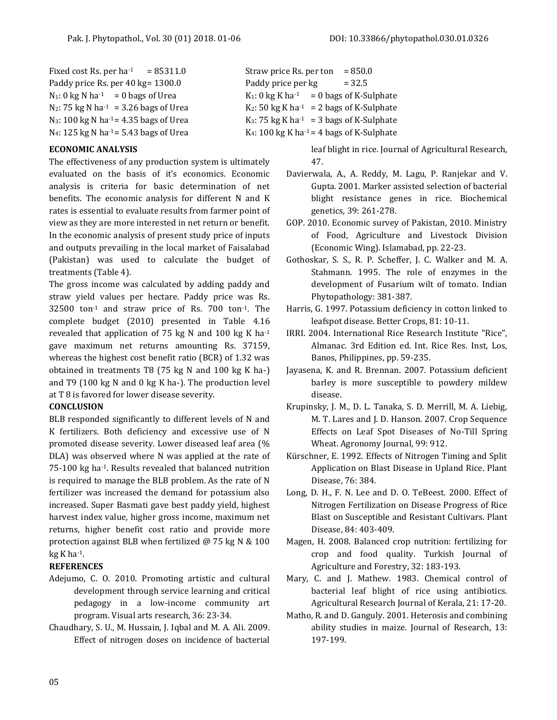Fixed cost Rs. per  $ha^{-1}$  = 85311.0 Straw price Rs. per ton = 850.0 Paddy price Rs. per 40 kg=  $1300.0$  Paddy price per kg =  $32.5$ 

## **ECONOMIC ANALYSIS**

The effectiveness of any production system is ultimately evaluated on the basis of it's economics. Economic analysis is criteria for basic determination of net benefits. The economic analysis for different N and K rates is essential to evaluate results from farmer point of view as they are more interested in net return or benefit. In the economic analysis of present study price of inputs and outputs prevailing in the local market of Faisalabad (Pakistan) was used to calculate the budget of treatments (Table 4).

The gross income was calculated by adding paddy and straw yield values per hectare. Paddy price was Rs.  $32500$  ton<sup>-1</sup> and straw price of Rs. 700 ton<sup>-1</sup>. The complete budget (2010) presented in Table 4.16 revealed that application of 75 kg N and 100 kg K ha-1 gave maximum net returns amounting Rs. 37159, whereas the highest cost benefit ratio (BCR) of 1.32 was obtained in treatments T8 (75 kg N and 100 kg K ha-) and T9 (100 kg N and 0 kg K ha-). The production level at T 8 is favored for lower disease severity.

### **CONCLUSION**

BLB responded significantly to different levels of N and K fertilizers. Both deficiency and excessive use of N promoted disease severity. Lower diseased leaf area (% DLA) was observed where N was applied at the rate of 75-100 kg ha-1. Results revealed that balanced nutrition is required to manage the BLB problem. As the rate of N fertilizer was increased the demand for potassium also increased. Super Basmati gave best paddy yield, highest harvest index value, higher gross income, maximum net returns, higher benefit cost ratio and provide more protection against BLB when fertilized @ 75 kg N & 100 kg K ha $-1$ .

## **REFERENCES**

- Adejumo, C. O. 2010. Promoting artistic and cultural development through service learning and critical pedagogy in a low-income community art program. Visual arts research, 36: 23-34.
- Chaudhary, S. U., M. Hussain, J. Iqbal and M. A. Ali. 2009. Effect of nitrogen doses on incidence of bacterial

 $N_1$ : 0 kg N ha<sup>-1</sup> = 0 bags of Urea K<sub>1</sub>: 0 kg K ha<sup>-1</sup> = 0 bags of K-Sulphate  $N_2$ : 75 kg N ha<sup>-1</sup> = 3.26 bags of Urea K<sub>2</sub>: 50 kg K ha<sup>-1</sup> = 2 bags of K-Sulphate N<sub>3</sub>: 100 kg N ha<sup>-1</sup> = 4.35 bags of Urea K<sub>3</sub>: 75 kg K ha<sup>-1</sup> = 3 bags of K-Sulphate  $N_4$ : 125 kg N ha<sup>-1</sup> = 5.43 bags of Urea K<sub>4</sub>: 100 kg K ha<sup>-1</sup> = 4 bags of K-Sulphate

> leaf blight in rice. Journal of Agricultural Research, 47.

- Davierwala, A., A. Reddy, M. Lagu, P. Ranjekar and V. Gupta. 2001. Marker assisted selection of bacterial blight resistance genes in rice. Biochemical genetics, 39: 261-278.
- GOP. 2010. Economic survey of Pakistan, 2010. Ministry of Food, Agriculture and Livestock Division (Economic Wing). Islamabad, pp. 22-23.
- Gothoskar, S. S., R. P. Scheffer, J. C. Walker and M. A. Stahmann. 1995. The role of enzymes in the development of Fusarium wilt of tomato. Indian Phytopathology: 381-387.
- Harris, G. 1997. Potassium deficiency in cotton linked to leafspot disease. Better Crops, 81: 10-11.
- IRRI. 2004. International Rice Research Institute "Rice", Almanac. 3rd Edition ed. Int. Rice Res. Inst, Los, Banos, Philippines, pp. 59-235.
- Jayasena, K. and R. Brennan. 2007. Potassium deficient barley is more susceptible to powdery mildew disease.
- Krupinsky, J. M., D. L. Tanaka, S. D. Merrill, M. A. Liebig, M. T. Lares and J. D. Hanson. 2007. Crop Sequence Effects on Leaf Spot Diseases of No-Till Spring Wheat. Agronomy Journal, 99: 912.
- Kürschner, E. 1992. Effects of Nitrogen Timing and Split Application on Blast Disease in Upland Rice. Plant Disease, 76: 384.
- Long, D. H., F. N. Lee and D. O. TeBeest. 2000. Effect of Nitrogen Fertilization on Disease Progress of Rice Blast on Susceptible and Resistant Cultivars. Plant Disease, 84: 403-409.
- Magen, H. 2008. Balanced crop nutrition: fertilizing for crop and food quality. Turkish Journal of Agriculture and Forestry, 32: 183-193.
- Mary, C. and J. Mathew. 1983. Chemical control of bacterial leaf blight of rice using antibiotics. Agricultural Research Journal of Kerala, 21: 17-20.
- Matho, R. and D. Ganguly. 2001. Heterosis and combining ability studies in maize. Journal of Research, 13: 197-199.